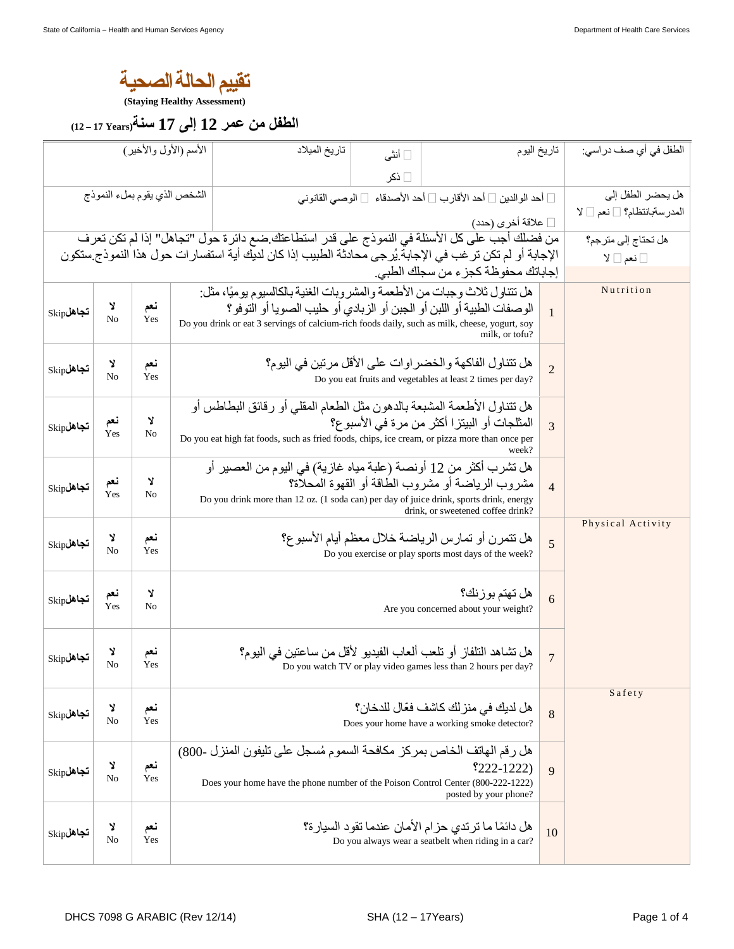## **ة یصحاللة الحامییقت**

**(Staying Healthy Assessment)** 

**ر معن مل فلطا 12 ى لإ 17 ةسن (Years 17 – 12(**

| الأسم (الأول والأخير)        |                     |            |                                                                                                                                                                                                                                                                                         |                                                                | تاريخ الميلاد | □ أنثى |                                                                                                                                   | تاريخ اليوم                                     | الطفل في أي صف در اسي: |  |  |
|------------------------------|---------------------|------------|-----------------------------------------------------------------------------------------------------------------------------------------------------------------------------------------------------------------------------------------------------------------------------------------|----------------------------------------------------------------|---------------|--------|-----------------------------------------------------------------------------------------------------------------------------------|-------------------------------------------------|------------------------|--|--|
|                              |                     |            |                                                                                                                                                                                                                                                                                         |                                                                | ∏ ذکر         |        |                                                                                                                                   |                                                 |                        |  |  |
| الشخص الذي يقوم بملء النموذج |                     |            |                                                                                                                                                                                                                                                                                         | □ أحد الوالدين □ أحد الأقارب □ أحد الأصدقاء  □ الوصبي القانوني |               |        |                                                                                                                                   | هل يحضر الطفل إلى<br>المدرسةبانتظام؟ [ نعم [ لا |                        |  |  |
|                              |                     |            |                                                                                                                                                                                                                                                                                         |                                                                |               |        | [] علاقة أخرى (حدد)                                                                                                               |                                                 |                        |  |  |
|                              |                     |            |                                                                                                                                                                                                                                                                                         |                                                                |               |        | من فضلك أجب على كل الأسئلة في النموذج على قدر استطاعتك ضع دائرة حول "تجاهل" إذا لم تكن تعرف                                       |                                                 | هل تحتاج إلى مترجم؟    |  |  |
|                              |                     |            |                                                                                                                                                                                                                                                                                         |                                                                |               |        | الإجابة أو لم تكن تر غب في الإجابة يُرجى محادثة الطبيب إذا كان لديك أية استفسار ات حول هذا النموذج ستكون                          |                                                 | □ نعم □ لا             |  |  |
|                              |                     |            |                                                                                                                                                                                                                                                                                         |                                                                |               |        | إجاباتك محفوظة كجز ء من سجلك الطبي.                                                                                               |                                                 |                        |  |  |
| $\mathrm{Skip}$ تجاهل        | Y<br>N <sub>o</sub> | نعم<br>Yes | هل تتناول ثلاث وجبات من الأطعمة والمشر وبات الغنية بالكالسيوم يو ميًا، مثل:<br>الوصفات الطبية أو اللبن أو الجبن أو الزبادي أو حليب الصويا أو التوفو؟<br>$\mathbf{1}$<br>Do you drink or eat 3 servings of calcium-rich foods daily, such as milk, cheese, yogurt, soy<br>milk. or tofu? |                                                                |               |        |                                                                                                                                   |                                                 | Nutrition              |  |  |
| $\mathrm{Skip}$ تجاهل        | Y<br>N <sub>o</sub> | نعم<br>Yes | هل تتناول الفاكهة والخضر اوات على الأقل مرتين في اليوم؟<br>$\overline{2}$<br>Do you eat fruits and vegetables at least 2 times per day?                                                                                                                                                 |                                                                |               |        |                                                                                                                                   |                                                 |                        |  |  |
| $\mathrm{Skip}$ نجاهل        | نعم<br><b>Yes</b>   | Y<br>No    | هل تتناول الأطعمة المشبعة بالدهون مثل الطعام المقلى أو رقائق البطاطس أو<br>المثلجات أو البيتزا أكثر من مرة في الأسبوع؟<br>3<br>Do you eat high fat foods, such as fried foods, chips, ice cream, or pizza more than once per<br>week?                                                   |                                                                |               |        |                                                                                                                                   |                                                 |                        |  |  |
| $\mathrm{Skip}$ تجاهل        | نعم<br>Yes          | Y<br>No    | هل تشرب أكثر من 12 أونصـة (علبة مياه غازية) في اليوم من العصير أو<br>مشر وب الر ياضة أو مشر وب الطاقة أو القهوة المحلاة؟<br>$\overline{4}$<br>Do you drink more than 12 oz. (1 soda can) per day of juice drink, sports drink, energy<br>drink, or sweetened coffee drink?              |                                                                |               |        |                                                                                                                                   |                                                 |                        |  |  |
| $\mathrm{Skip}$ تجاهل        | Y<br>No             | نعم<br>Yes | هل تتمرن أو تمارس الرياضة خلال معظم أيام الأسبو ع؟<br>5<br>Do you exercise or play sports most days of the week?                                                                                                                                                                        |                                                                |               |        |                                                                                                                                   | Physical Activity                               |                        |  |  |
| $\mathrm{Skip}$ تجاهل        | نعم<br>Yes          | Y<br>No    | هل تهتم بوزنك؟<br>6<br>Are you concerned about your weight?                                                                                                                                                                                                                             |                                                                |               |        |                                                                                                                                   |                                                 |                        |  |  |
| $\mathrm{Skip}$ تجاهل        | Y<br>No             | نعم<br>Yes |                                                                                                                                                                                                                                                                                         |                                                                |               |        | هل تشاهد التلفاز أو تلعب ألعاب الفيديو لأقل من ساعتين في اليوم؟<br>Do you watch TV or play video games less than 2 hours per day? | $\overline{7}$                                  |                        |  |  |
| $\mathrm{Skip}$ تجاهل        | Y<br>No             | نعم<br>Yes |                                                                                                                                                                                                                                                                                         |                                                                |               |        | هل لديك في منز لك كاشف فعّال للدخان؟<br>Does your home have a working smoke detector?                                             | 8                                               | Safety                 |  |  |
| $\mathrm{Skip}$ تجاهل        | Y<br>No             | نعم<br>Yes | هل رقم الهاتف الخاص بمركز مكافحة السموم مُسجل على تليفون المنزل -800)<br>$$222-1222)$<br>9<br>Does your home have the phone number of the Poison Control Center (800-222-1222)<br>posted by your phone?                                                                                 |                                                                |               |        |                                                                                                                                   |                                                 |                        |  |  |
| $\mathrm{Skip}$ تجاهل        | Y<br>No             | نعم<br>Yes | هل دائمًا ما ترتدي حزام الأمان عندما تقود السيارة؟<br>10<br>Do you always wear a seatbelt when riding in a car?                                                                                                                                                                         |                                                                |               |        |                                                                                                                                   |                                                 |                        |  |  |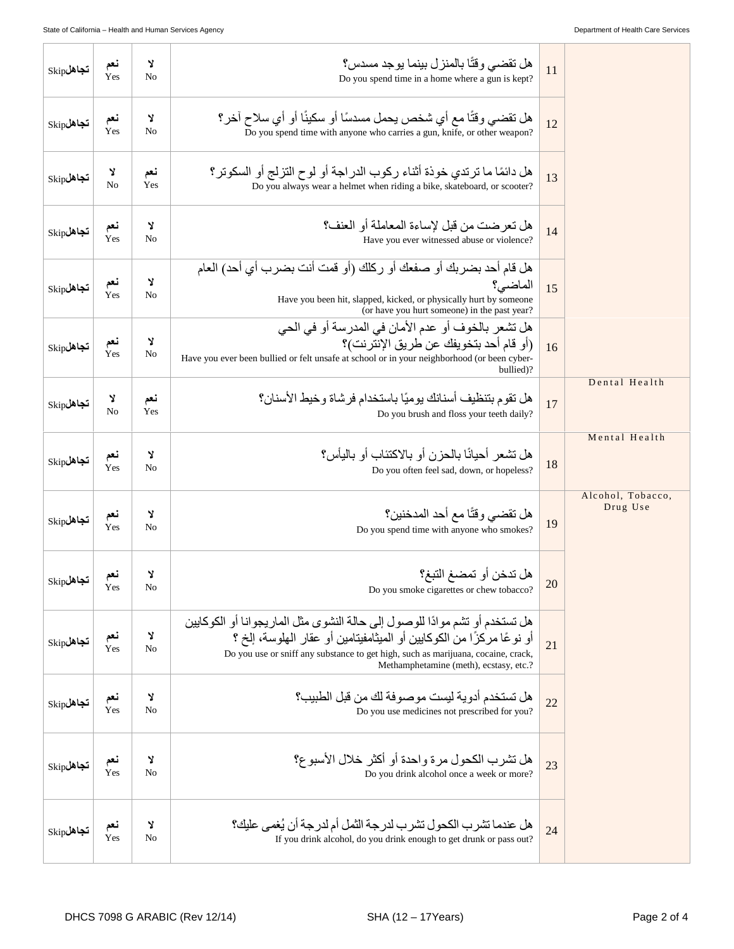| $\mathrm{Skip}$ تجاهل | نعم<br>Yes          | Y<br>No             | هل تقضـي وقتًا بـالمنز ل بينمـا يو جد مسدس؟<br>Do you spend time in a home where a gun is kept?                                                                                                                                                                                      | 11 |                               |
|-----------------------|---------------------|---------------------|--------------------------------------------------------------------------------------------------------------------------------------------------------------------------------------------------------------------------------------------------------------------------------------|----|-------------------------------|
| تجاهلSkip             | نعم<br>Yes          | Y<br>No             | هل نقضي وقتًا مع أي شخص يحمل مسدسًا أو سكينًا أو أي سلاح آخر؟<br>Do you spend time with anyone who carries a gun, knife, or other weapon?                                                                                                                                            | 12 |                               |
| $\mathrm{Skip}$ تجاهل | צ<br>N <sub>o</sub> | نعم<br>Yes          | هل دائمًا ما تر تدى خوذة أثناء ركوب الدر اجة أو لوح التز لج أو السكوتر ؟<br>Do you always wear a helmet when riding a bike, skateboard, or scooter?                                                                                                                                  | 13 |                               |
| $\mathrm{Skip}$ تجاهل | نعم<br>Yes          | Y<br>No             | هل تعرضت من قبل لإساءة المعاملة أو العنف؟<br>Have you ever witnessed abuse or violence?                                                                                                                                                                                              | 14 |                               |
| $\mathrm{Skip}$ تجاهل | نعم<br>Yes          | Y<br>No             | هل قام أحد بضربك أو صفعك أو ركلك (أو قمت أنت بضرب أي أحد) العام<br>الماضي؟<br>Have you been hit, slapped, kicked, or physically hurt by someone<br>(or have you hurt someone) in the past year?                                                                                      | 15 |                               |
| $\mathrm{Skip}$ تجاهل | نعم<br>Yes          | Y<br>N <sub>o</sub> | هل تشعر بالخوف أو عدم الأمان في المدرسة أو في الحي<br>(أو قام أحد بتخويفك عن طريق الإنترنت)؟<br>Have you ever been bullied or felt unsafe at school or in your neighborhood (or been cyber-<br>bullied)?                                                                             | 16 |                               |
| $\mathrm{Skip}$ تجاهل | צ<br>N <sub>o</sub> | نعم<br>Yes          | هل تقوم بتنظيف أسنانك يوميًا باستخدام فرشاة وخيط الأسنان؟<br>Do you brush and floss your teeth daily?                                                                                                                                                                                | 17 | Dental Health                 |
| $\mathrm{Skip}$ تجاهل | نعم<br>Yes          | Y<br>N <sub>o</sub> | هل تشعر أحيانًا بالحزن أو بالاكتئاب أو باليأس؟<br>Do you often feel sad, down, or hopeless?                                                                                                                                                                                          | 18 | Mental Health                 |
| $\mathrm{Skip}$ تجاهل | نعم<br>Yes          | Y<br>N <sub>0</sub> | هل تقضي وقتًا مع أحد المدخنين؟<br>Do you spend time with anyone who smokes?                                                                                                                                                                                                          | 19 | Alcohol, Tobacco,<br>Drug Use |
| $\mathrm{Skip}$ تجاهل | نعم<br>Yes          | Y<br>No             | هل تدخن أو تمضغ التبغ؟<br>Do you smoke cigarettes or chew tobacco?                                                                                                                                                                                                                   | 20 |                               |
| $\mathrm{Skip}$ تجاهل | نعم<br>Yes          | Y<br>No             | هل تستخدم أو تشم موادًا للوصول إلى حالة النشوى مثل الماريجوانا أو الكوكايين<br>أو نو عًا مركزًا من الكوكابين أو الميثامفيتامين أو عقار الملوسة، إلخ ؟<br>Do you use or sniff any substance to get high, such as marijuana, cocaine, crack,<br>Methamphetamine (meth), ecstasy, etc.? | 21 |                               |
| $\mathrm{Skip}$ تجاهل | نعم<br>Yes          | Y<br>No             | هل تستخدم أدو ية ليست مو صو فة لك من قبل الطبيب؟<br>Do you use medicines not prescribed for you?                                                                                                                                                                                     | 22 |                               |
| $\mathrm{Skip}$ تجاهل | نعم<br>Yes          | Y<br>No             | هل تشرب الكحول مر ة واحدة أو أكثر خلال الأسبو ع؟<br>Do you drink alcohol once a week or more?                                                                                                                                                                                        | 23 |                               |
| $\mathrm{Skip}$ تجاهل | نعم<br>Yes          | Y<br>No             | هل عندما تشر ب الكحو ل تشر ب لدر جة الثمل أم لدر جة أن يُغمى عليك؟<br>If you drink alcohol, do you drink enough to get drunk or pass out?                                                                                                                                            | 24 |                               |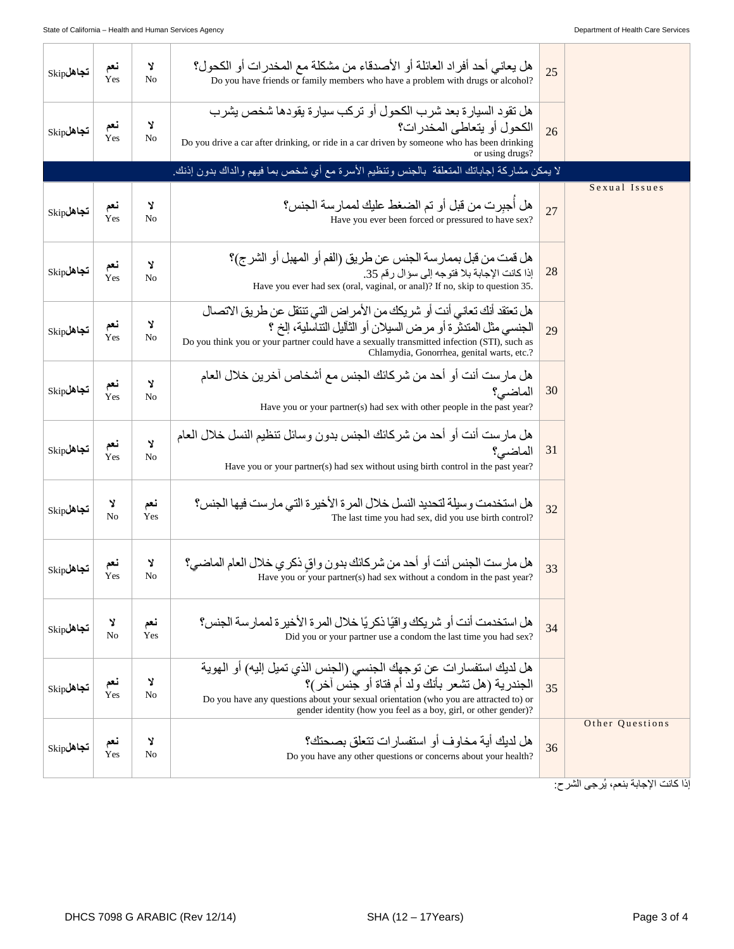| $\mathrm{Skip}$ تجاهل | نعم<br>Yes             | Y<br>No    | هل يعاني أحد أفر اد العائلة أو الأصدقاء من مشكلة مع المخدر ات أو الكحول؟<br>Do you have friends or family members who have a problem with drugs or alcohol?                                                                                                                            | 25 |                 |
|-----------------------|------------------------|------------|----------------------------------------------------------------------------------------------------------------------------------------------------------------------------------------------------------------------------------------------------------------------------------------|----|-----------------|
| $\mathrm{Skip}$ تجاهل | نعم<br>Yes             | Y<br>No    | هل تقود السيار ة بعد شرب الكحول أو تركب سيارة يقودها شخص يشرب<br>الكحو ل أو يتعاطى المخدر ات؟<br>Do you drive a car after drinking, or ride in a car driven by someone who has been drinking<br>or using drugs?                                                                        | 26 |                 |
|                       |                        |            | لا يمكن مشاركة إجاباتك المتعلقة  بالجنس وتنظيم الأسرة مع أي شخص بما فيهم والداك بدون إذنك.                                                                                                                                                                                             |    |                 |
| $\mathrm{Skip}$ تجاهل | نعم<br>$Y_{\text{es}}$ | Y<br>No    | هل أجبرت من قبل أو تم الضغط عليك لممارسة الجنس؟<br>Have you ever been forced or pressured to have sex?                                                                                                                                                                                 | 27 | Sexual Issues   |
| $\mathrm{Skip}$ تجاهل | نعم<br>Yes             | צ<br>No    | هل قمت من قبل بممارسة الجنس عن طريق (الفم أو المهبل أو الشرج)؟<br>إذا كانت الإجابة بلا فتوجه إلى سؤال رقم 35.<br>Have you ever had sex (oral, vaginal, or anal)? If no, skip to question 35.                                                                                           | 28 |                 |
| $\mathrm{Skip}$ تجاهل | نعم<br>Yes             | Y<br>No    | هل تعتقد أنك تعاني أنت أو شريكك من الأمر اض التي تنتقل عن طريق الاتصال<br>الجنسي مثل المتنثر ة أو مرض السيلان أو الثآليل التناسلية، إلخ ؟<br>Do you think you or your partner could have a sexually transmitted infection (STI), such as<br>Chlamydia, Gonorrhea, genital warts, etc.? | 29 |                 |
| $\mathrm{Skip}$ تجاهل | نعم<br><b>Yes</b>      | Y<br>No    | هل مار ست أنت أو أحد من شركائك الجنس مع أشخاص آخرين خلال العام<br>الماضي؟<br>Have you or your partner(s) had sex with other people in the past year?                                                                                                                                   | 30 |                 |
| $\mathrm{Skip}$ تجاهل | نعم<br>Yes             | Y<br>No    | هل مارست أنت أو أحد من شركائك الجنس بدون وسائل تنظيم النسل خلال العام<br>الماضي؟<br>Have you or your partner(s) had sex without using birth control in the past year?                                                                                                                  | 31 |                 |
| $\mathrm{Skip}$ تجاهل | Y<br>N <sub>o</sub>    | نعم<br>Yes | هل استخدمت وسيلة لتحديد النسل خلال المرة الأخيرة التي مارست فيها الجنس؟<br>The last time you had sex, did you use birth control?                                                                                                                                                       | 32 |                 |
| $\mathrm{Skip}$ تجاهل | نعم<br>Yes             | Y<br>No    | هل مارست الجنس أنت أو أحد من شركائك بدون واق ذكر ي خلال العام الماضي؟<br>Have you or your partner(s) had sex without a condom in the past year?                                                                                                                                        | 33 |                 |
| تجاهلSkip             | צ<br>N <sub>o</sub>    | نعم<br>Yes | هل استخدمت أنت أو شر يكك و اقيًا ذكر يًا خلال المر ة الأخير ة لممار سة الجنس؟<br>Did you or your partner use a condom the last time you had sex?                                                                                                                                       | 34 |                 |
| $\mathrm{Skip}$ تجاهل | نعم<br>Yes             | צ<br>No    | هل لديك استفسار ات عن توجهك الجنسي (الجنس الذي تميل إليه) أو الـهويـة<br>الجندرية (هل تشعر بأنك ولد أم فتاة أو جنس أخر)؟<br>Do you have any questions about your sexual orientation (who you are attracted to) or<br>gender identity (how you feel as a boy, girl, or other gender)?   | 35 |                 |
| تجاهلSkip             | نعم<br>Yes             | צ<br>No    | هل لديك أية مخاو ف أو  استفسار ات تتعلق بصحتك؟<br>Do you have any other questions or concerns about your health?                                                                                                                                                                       | 36 | Other Questions |

.<br>إذا كانت الإجابة بنعم، يُرجى الشرح: